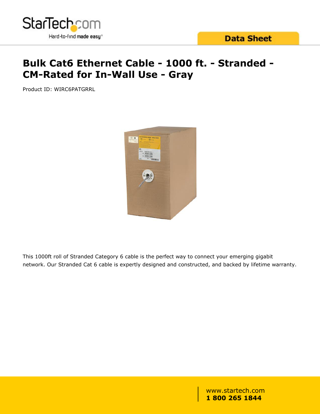

# **Bulk Cat6 Ethernet Cable - 1000 ft. - Stranded - CM-Rated for In-Wall Use - Gray**

Product ID: WIRC6PATGRRL



This 1000ft roll of Stranded Category 6 cable is the perfect way to connect your emerging gigabit network. Our Stranded Cat 6 cable is expertly designed and constructed, and backed by lifetime warranty.

> www.startech.com **1 800 265 1844**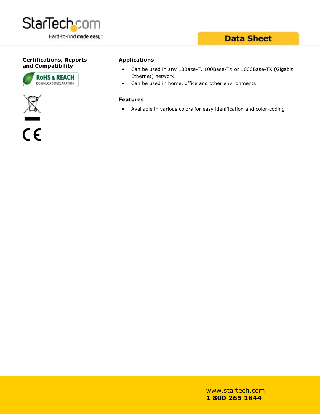

### **Data Sheet**

#### **Certifications, Reports and Compatibility**







#### **Applications**

- Can be used in any 10Base-T, 100Base-TX or 1000Base-TX (Gigabit Ethernet) network
- Can be used in home, office and other environments

#### **Features**

• Available in various colors for easy idenification and color-coding

www.startech.com **1 800 265 1844**